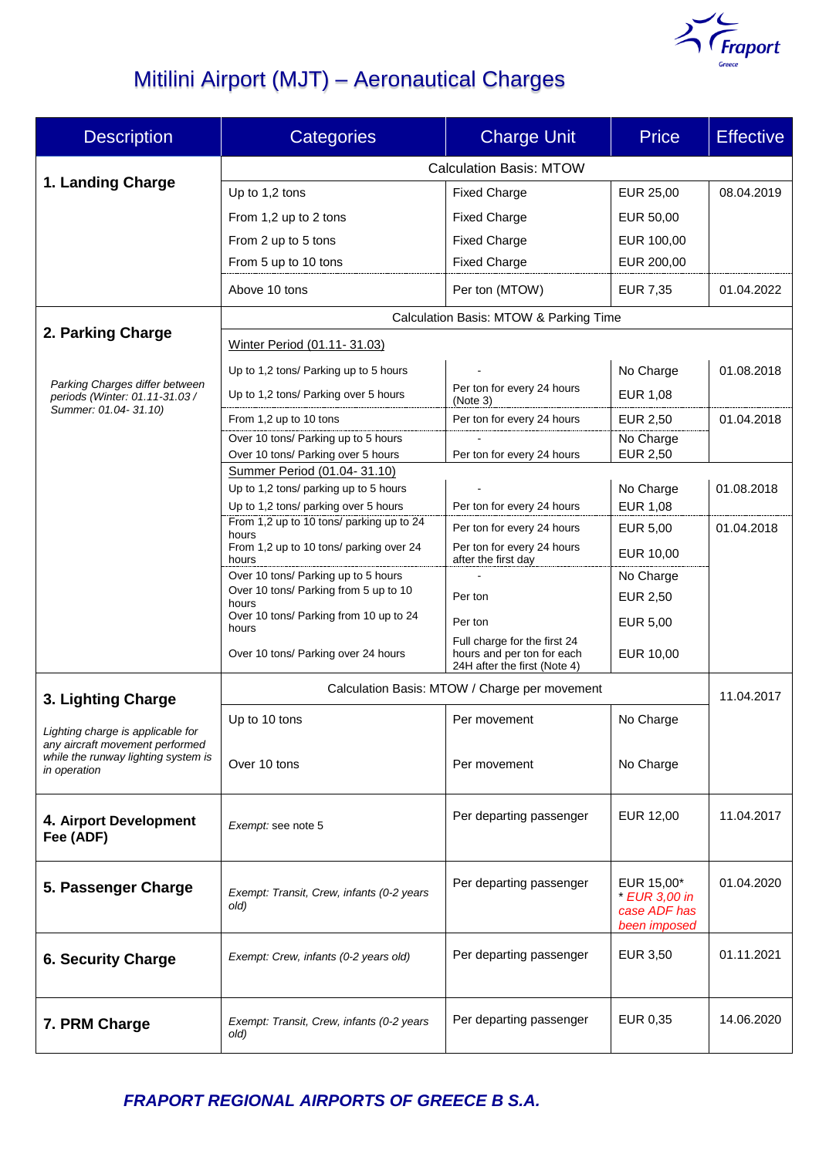

# Mitilini Airport (MJT) – Aeronautical Charges

| <b>Description</b>                                                                                                          | <b>Categories</b>                                                    | <b>Charge Unit</b>                                         | <b>Price</b>                                                | <b>Effective</b> |  |
|-----------------------------------------------------------------------------------------------------------------------------|----------------------------------------------------------------------|------------------------------------------------------------|-------------------------------------------------------------|------------------|--|
|                                                                                                                             | <b>Calculation Basis: MTOW</b>                                       |                                                            |                                                             |                  |  |
| 1. Landing Charge                                                                                                           | Up to 1,2 tons                                                       | <b>Fixed Charge</b>                                        | EUR 25,00                                                   | 08.04.2019       |  |
|                                                                                                                             | From 1,2 up to 2 tons                                                | <b>Fixed Charge</b>                                        | EUR 50,00                                                   |                  |  |
|                                                                                                                             | From 2 up to 5 tons                                                  | <b>Fixed Charge</b>                                        | EUR 100,00                                                  |                  |  |
|                                                                                                                             | From 5 up to 10 tons                                                 | <b>Fixed Charge</b>                                        | EUR 200,00                                                  |                  |  |
|                                                                                                                             | Above 10 tons                                                        | Per ton (MTOW)                                             | EUR 7,35                                                    | 01.04.2022       |  |
|                                                                                                                             | Calculation Basis: MTOW & Parking Time                               |                                                            |                                                             |                  |  |
| 2. Parking Charge                                                                                                           | Winter Period (01.11-31.03)                                          |                                                            |                                                             |                  |  |
| Parking Charges differ between<br>periods (Winter: 01.11-31.03 /                                                            | Up to 1,2 tons/ Parking up to 5 hours                                |                                                            | No Charge                                                   | 01.08.2018       |  |
|                                                                                                                             | Up to 1,2 tons/ Parking over 5 hours                                 | Per ton for every 24 hours                                 | EUR 1,08                                                    |                  |  |
| Summer: 01.04-31.10)                                                                                                        | From 1,2 up to 10 tons                                               | (Note 3)<br>Per ton for every 24 hours                     | EUR 2,50                                                    | 01.04.2018       |  |
|                                                                                                                             | Over 10 tons/ Parking up to 5 hours                                  |                                                            | No Charge                                                   |                  |  |
|                                                                                                                             | Over 10 tons/ Parking over 5 hours                                   | Per ton for every 24 hours                                 | <b>EUR 2,50</b>                                             |                  |  |
|                                                                                                                             | Summer Period (01.04-31.10)<br>Up to 1,2 tons/ parking up to 5 hours |                                                            | No Charge                                                   | 01.08.2018       |  |
|                                                                                                                             | Up to 1,2 tons/ parking over 5 hours                                 | Per ton for every 24 hours                                 | EUR 1,08                                                    |                  |  |
|                                                                                                                             | From 1,2 up to 10 tons/ parking up to 24                             | Per ton for every 24 hours                                 | <b>EUR 5,00</b>                                             | 01.04.2018       |  |
|                                                                                                                             | hours<br>From 1,2 up to 10 tons/ parking over 24                     | Per ton for every 24 hours                                 | EUR 10,00                                                   |                  |  |
|                                                                                                                             | hours<br>Over 10 tons/ Parking up to 5 hours                         | after the first day                                        | No Charge                                                   |                  |  |
|                                                                                                                             | Over 10 tons/ Parking from 5 up to 10                                | Per ton                                                    | EUR 2,50                                                    |                  |  |
|                                                                                                                             | hours<br>Over 10 tons/ Parking from 10 up to 24                      | Per ton                                                    | EUR 5,00                                                    |                  |  |
|                                                                                                                             | hours<br>Over 10 tons/ Parking over 24 hours                         | Full charge for the first 24<br>hours and per ton for each | EUR 10,00                                                   |                  |  |
|                                                                                                                             |                                                                      | 24H after the first (Note 4)                               |                                                             |                  |  |
| 3. Lighting Charge                                                                                                          | Calculation Basis: MTOW / Charge per movement                        |                                                            |                                                             |                  |  |
| Lighting charge is applicable for<br>any aircraft movement performed<br>while the runway lighting system is<br>in operation | Up to 10 tons                                                        | Per movement                                               | No Charge                                                   |                  |  |
|                                                                                                                             |                                                                      |                                                            |                                                             |                  |  |
|                                                                                                                             | Over 10 tons                                                         | Per movement                                               | No Charge                                                   |                  |  |
| 4. Airport Development<br>Fee (ADF)                                                                                         | Exempt: see note 5                                                   | Per departing passenger                                    | EUR 12,00                                                   | 11.04.2017       |  |
| 5. Passenger Charge                                                                                                         | Exempt: Transit, Crew, infants (0-2 years<br>old)                    | Per departing passenger                                    | EUR 15,00*<br>* EUR 3,00 in<br>case ADF has<br>been imposed | 01.04.2020       |  |
| <b>6. Security Charge</b>                                                                                                   | Exempt: Crew, infants (0-2 years old)                                | Per departing passenger                                    | <b>EUR 3,50</b>                                             | 01.11.2021       |  |
| 7. PRM Charge                                                                                                               | Exempt: Transit, Crew, infants (0-2 years<br>old)                    | Per departing passenger                                    | EUR 0,35                                                    | 14.06.2020       |  |

*FRAPORT REGIONAL AIRPORTS OF GREECE B S.A.*